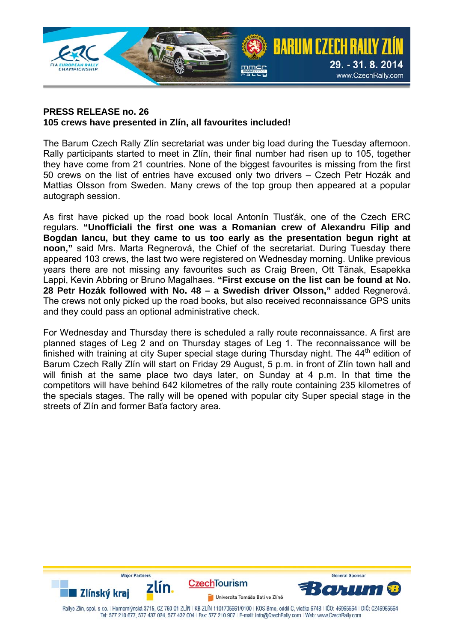

## **PRESS RELEASE no. 26 105 crews have presented in Zlín, all favourites included!**

The Barum Czech Rally Zlín secretariat was under big load during the Tuesday afternoon. Rally participants started to meet in Zlín, their final number had risen up to 105, together they have come from 21 countries. None of the biggest favourites is missing from the first 50 crews on the list of entries have excused only two drivers – Czech Petr Hozák and Mattias Olsson from Sweden. Many crews of the top group then appeared at a popular autograph session.

As first have picked up the road book local Antonín Tlusťák, one of the Czech ERC regulars. **"Unofficiali the first one was a Romanian crew of Alexandru Filip and Bogdan Iancu, but they came to us too early as the presentation begun right at noon,"** said Mrs. Marta Regnerová, the Chief of the secretariat. During Tuesday there appeared 103 crews, the last two were registered on Wednesday morning. Unlike previous years there are not missing any favourites such as Craig Breen, Ott Tänak, Esapekka Lappi, Kevin Abbring or Bruno Magalhaes. **"First excuse on the list can be found at No. 28 Petr Hozák followed with No. 48 – a Swedish driver Olsson,"** added Regnerová. The crews not only picked up the road books, but also received reconnaissance GPS units and they could pass an optional administrative check.

For Wednesday and Thursday there is scheduled a rally route reconnaissance. A first are planned stages of Leg 2 and on Thursday stages of Leg 1. The reconnaissance will be finished with training at city Super special stage during Thursday night. The 44<sup>th</sup> edition of Barum Czech Rally Zlín will start on Friday 29 August, 5 p.m. in front of Zlín town hall and will finish at the same place two days later, on Sunday at 4 p.m. In that time the competitors will have behind 642 kilometres of the rally route containing 235 kilometres of the specials stages. The rally will be opened with popular city Super special stage in the streets of Zlín and former Baťa factory area.